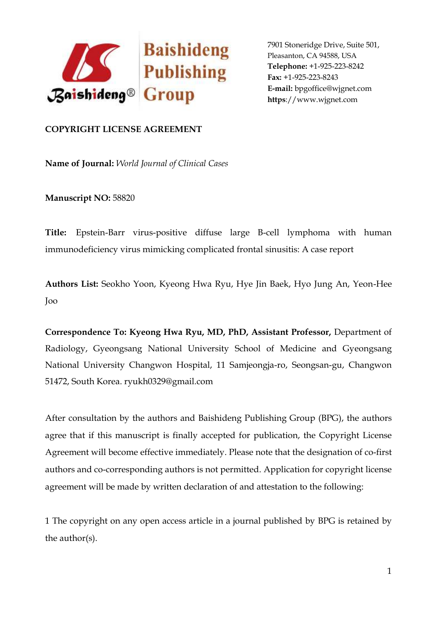

## **COPYRIGHT LICENSE AGREEMENT**

**Name of Journal:** *World Journal of Clinical Cases*

**Manuscript NO:** 58820

**Title:** Epstein-Barr virus-positive diffuse large B-cell lymphoma with human immunodeficiency virus mimicking complicated frontal sinusitis: A case report

**Authors List:** Seokho Yoon, Kyeong Hwa Ryu, Hye Jin Baek, Hyo Jung An, Yeon-Hee Joo

**Correspondence To: Kyeong Hwa Ryu, MD, PhD, Assistant Professor,** Department of Radiology, Gyeongsang National University School of Medicine and Gyeongsang National University Changwon Hospital, 11 Samjeongja-ro, Seongsan-gu, Changwon 51472, South Korea. ryukh0329@gmail.com

After consultation by the authors and Baishideng Publishing Group (BPG), the authors agree that if this manuscript is finally accepted for publication, the Copyright License Agreement will become effective immediately. Please note that the designation of co-first authors and co-corresponding authors is not permitted. Application for copyright license agreement will be made by written declaration of and attestation to the following:

1 The copyright on any open access article in a journal published by BPG is retained by the author(s).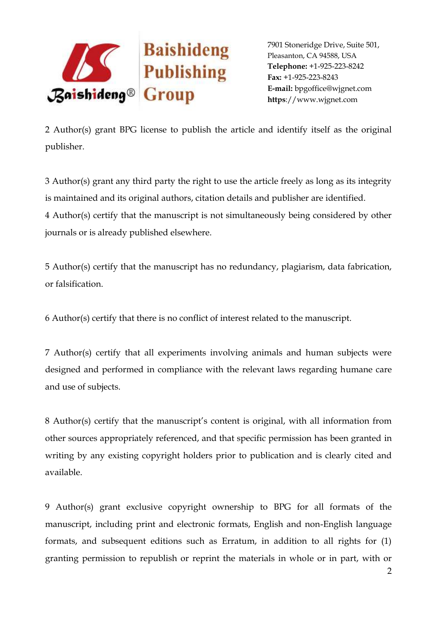

2 Author(s) grant BPG license to publish the article and identify itself as the original publisher.

3 Author(s) grant any third party the right to use the article freely as long as its integrity is maintained and its original authors, citation details and publisher are identified. 4 Author(s) certify that the manuscript is not simultaneously being considered by other journals or is already published elsewhere.

5 Author(s) certify that the manuscript has no redundancy, plagiarism, data fabrication, or falsification.

6 Author(s) certify that there is no conflict of interest related to the manuscript.

7 Author(s) certify that all experiments involving animals and human subjects were designed and performed in compliance with the relevant laws regarding humane care and use of subjects.

8 Author(s) certify that the manuscript's content is original, with all information from other sources appropriately referenced, and that specific permission has been granted in writing by any existing copyright holders prior to publication and is clearly cited and available.

9 Author(s) grant exclusive copyright ownership to BPG for all formats of the manuscript, including print and electronic formats, English and non-English language formats, and subsequent editions such as Erratum, in addition to all rights for (1) granting permission to republish or reprint the materials in whole or in part, with or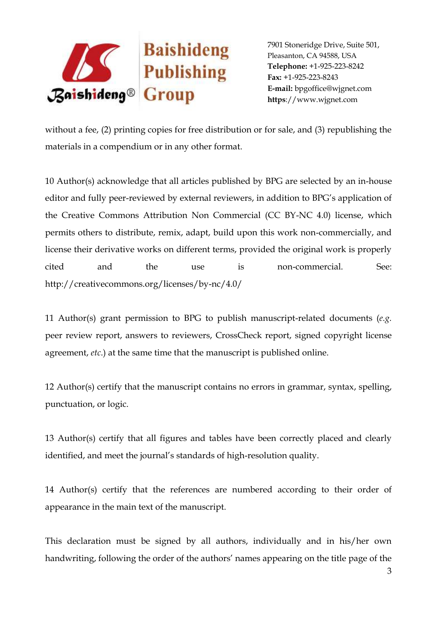

without a fee, (2) printing copies for free distribution or for sale, and (3) republishing the materials in a compendium or in any other format.

10 Author(s) acknowledge that all articles published by BPG are selected by an in-house editor and fully peer-reviewed by external reviewers, in addition to BPG's application of the Creative Commons Attribution Non Commercial (CC BY-NC 4.0) license, which permits others to distribute, remix, adapt, build upon this work non-commercially, and license their derivative works on different terms, provided the original work is properly cited and the use is non-commercial. See: http://creativecommons.org/licenses/by-nc/4.0/

11 Author(s) grant permission to BPG to publish manuscript-related documents (*e.g.* peer review report, answers to reviewers, CrossCheck report, signed copyright license agreement, *etc*.) at the same time that the manuscript is published online.

12 Author(s) certify that the manuscript contains no errors in grammar, syntax, spelling, punctuation, or logic.

13 Author(s) certify that all figures and tables have been correctly placed and clearly identified, and meet the journal's standards of high-resolution quality.

14 Author(s) certify that the references are numbered according to their order of appearance in the main text of the manuscript.

This declaration must be signed by all authors, individually and in his/her own handwriting, following the order of the authors' names appearing on the title page of the